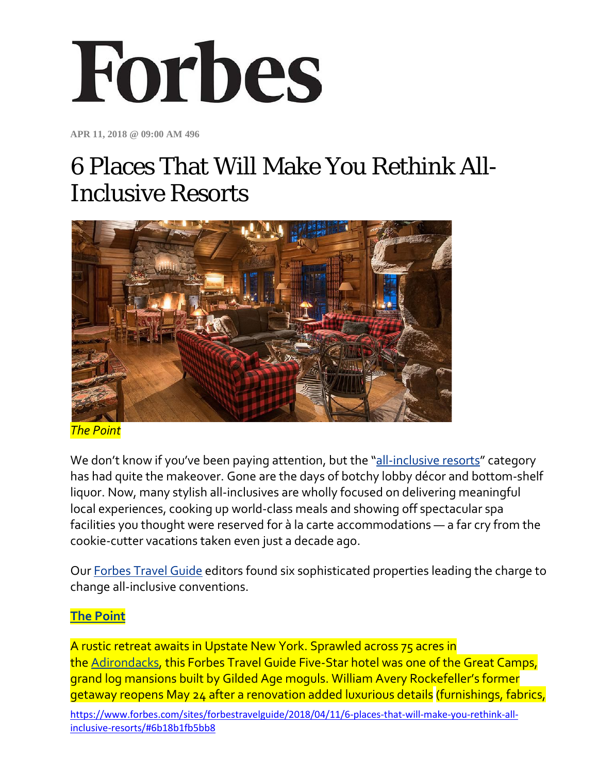# Forbes

**APR 11, 2018 @ 09:00 AM 496**

# 6 Places That Will Make You Rethink All-Inclusive Resorts



*The Point*

We don't know if you've been paying attention, but the ["all-inclusive resorts"](https://www.forbestravelguide.com/collections/all-inclusive-hotels-resorts#cmpid=forbes_HL) category has had quite the makeover. Gone are the days of botchy lobby décor and bottom-shelf liquor. Now, many stylish all-inclusives are wholly focused on delivering meaningful local experiences, cooking up world-class meals and showing off spectacular spa facilities you thought were reserved for à la carte accommodations — a far cry from the cookie-cutter vacations taken even just a decade ago.

Our [Forbes Travel Guide](https://www.forbestravelguide.com/#cmpid=forbes_HL) editors found six sophisticated properties leading the charge to change all-inclusive conventions.

#### **[The Point](https://www.forbestravelguide.com/hotels/the-adirondacks-new-york/the-point#cmpid=forbes_HL)**

A rustic retreat awaits in Upstate New York. Sprawled across 75 acres in the [Adirondacks,](https://www.forbestravelguide.com/destinations/the-adirondacks-new-york/travel-guide#cmpid=forbes_HL) this Forbes Travel Guide Five-Star hotel was one of the Great Camps, grand log mansions built by Gilded Age moguls. William Avery Rockefeller's former getaway reopens May 24 after a renovation added luxurious details (furnishings, fabrics,

[https://www.forbes.com/sites/forbestravelguide/2018/04/11/6-places-that-will-make-you-rethink-all](https://www.forbes.com/sites/forbestravelguide/2018/04/11/6-places-that-will-make-you-rethink-all-inclusive-resorts/#6b18b1fb5bb8)[inclusive-resorts/#6b18b1fb5bb8](https://www.forbes.com/sites/forbestravelguide/2018/04/11/6-places-that-will-make-you-rethink-all-inclusive-resorts/#6b18b1fb5bb8)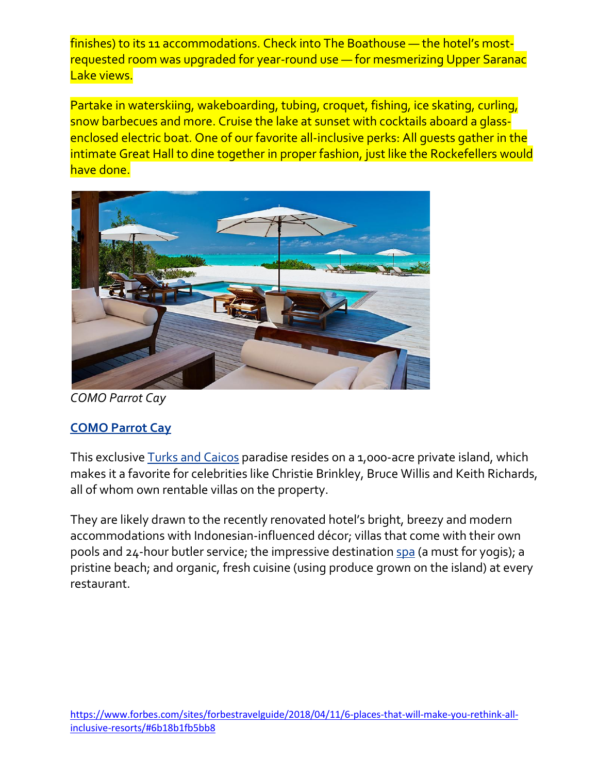finishes) to its 11 accommodations. Check into The Boathouse — the hotel's mostrequested room was upgraded for year-round use — for mesmerizing Upper Saranac Lake views.

Partake in waterskiing, wakeboarding, tubing, croquet, fishing, ice skating, curling, snow barbecues and more. Cruise the lake at sunset with cocktails aboard a glassenclosed electric boat. One of our favorite all-inclusive perks: All guests gather in the intimate Great Hall to dine together in proper fashion, just like the Rockefellers would have done.



*COMO Parrot Cay*

## **[COMO Parrot Cay](https://www.forbestravelguide.com/hotels/turks-caicos-turks-and-caicos-islands/como-parrot-cay#cmpid=forbes_HL)**

This exclusive [Turks and Caicos](https://www.forbestravelguide.com/destinations/turks-caicos-turks-and-caicos-islands/travel-guide#cmpid=forbes_HL) paradise resides on a 1,000-acre private island, which makes it a favorite for celebrities like Christie Brinkley, Bruce Willis and Keith Richards, all of whom own rentable villas on the property.

They are likely drawn to the recently renovated hotel's bright, breezy and modern accommodations with Indonesian-influenced décor; villas that come with their own pools and 24-hour butler service; the impressive destination [spa](https://www.forbestravelguide.com/spas/turks-caicos-turks-and-caicos-islands/como-shambhala-retreat-at-como-parrot-cay#cmpid=forbes_HL) (a must for yogis); a pristine beach; and organic, fresh cuisine (using produce grown on the island) at every restaurant.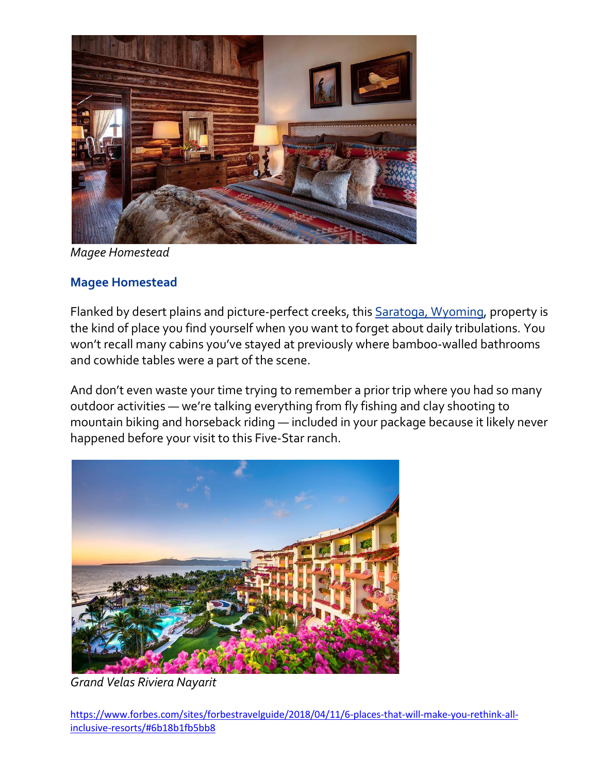

*Magee Homestead*

#### **[Magee Homestead](https://www.forbestravelguide.com/hotels/saratoga-wyoming/magee-homestead#cmpid=forbes_HL)**

Flanked by desert plains and picture-perfect creeks, this **Saratoga**, Wyoming, property is the kind of place you find yourself when you want to forget about daily tribulations. You won't recall many cabins you've stayed at previously where bamboo-walled bathrooms and cowhide tables were a part of the scene.

And don't even waste your time trying to remember a prior trip where you had so many outdoor activities — we're talking everything from fly fishing and clay shooting to mountain biking and horseback riding — included in your package because it likely never happened before your visit to this Five-Star ranch.



*Grand Velas Riviera Nayarit*

[https://www.forbes.com/sites/forbestravelguide/2018/04/11/6-places-that-will-make-you-rethink-all](https://www.forbes.com/sites/forbestravelguide/2018/04/11/6-places-that-will-make-you-rethink-all-inclusive-resorts/#6b18b1fb5bb8)[inclusive-resorts/#6b18b1fb5bb8](https://www.forbes.com/sites/forbestravelguide/2018/04/11/6-places-that-will-make-you-rethink-all-inclusive-resorts/#6b18b1fb5bb8)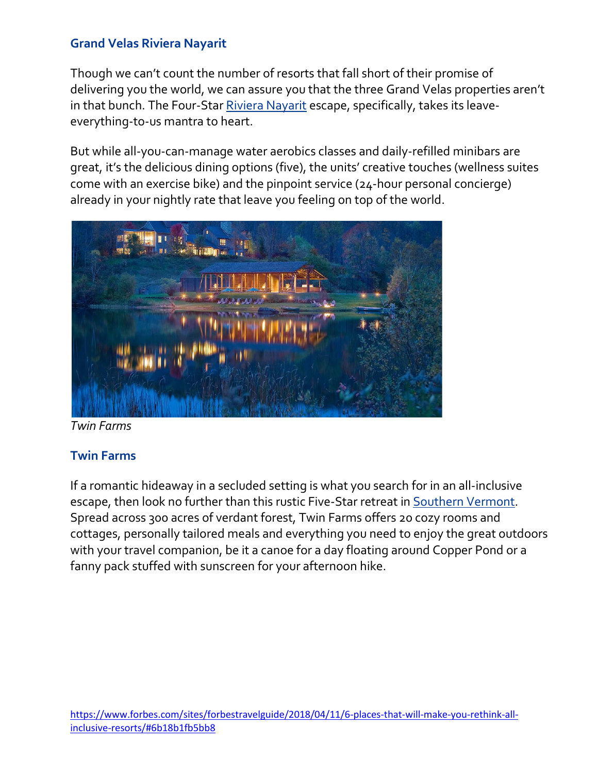#### **[Grand Velas Riviera Nayarit](https://www.forbestravelguide.com/hotels/puerto-vallarta-mexico/grand-velas-riviera-nayarit#cmpid=forbes_HL)**

Though we can't count the number of resorts that fall short of their promise of delivering you the world, we can assure you that the three Grand Velas properties aren't in that bunch. The Four-Star [Riviera Nayarit](https://www.forbestravelguide.com/hotels/puerto-vallarta-mexico/grand-velas-riviera-nayarit#cmpid=forbes_HL) escape, specifically, takes its leaveeverything-to-us mantra to heart.

But while all-you-can-manage water aerobics classes and daily-refilled minibars are great, it's the delicious dining options (five), the units' creative touches (wellness suites come with an exercise bike) and the pinpoint service (24-hour personal concierge) already in your nightly rate that leave you feeling on top of the world.



*Twin Farms*

#### **[Twin Farms](https://www.forbestravelguide.com/hotels/southern-vermont-vermont/twin-farms#cmpid=forbes_HL)**

If a romantic hideaway in a secluded setting is what you search for in an all-inclusive escape, then look no further than this rustic Five-Star retreat in [Southern Vermont.](https://www.forbestravelguide.com/destinations/southern-vermont-vermont/travel-guide#cmpid=forbes_HL) Spread across 300 acres of verdant forest, Twin Farms offers 20 cozy rooms and cottages, personally tailored meals and everything you need to enjoy the great outdoors with your travel companion, be it a canoe for a day floating around Copper Pond or a fanny pack stuffed with sunscreen for your afternoon hike.